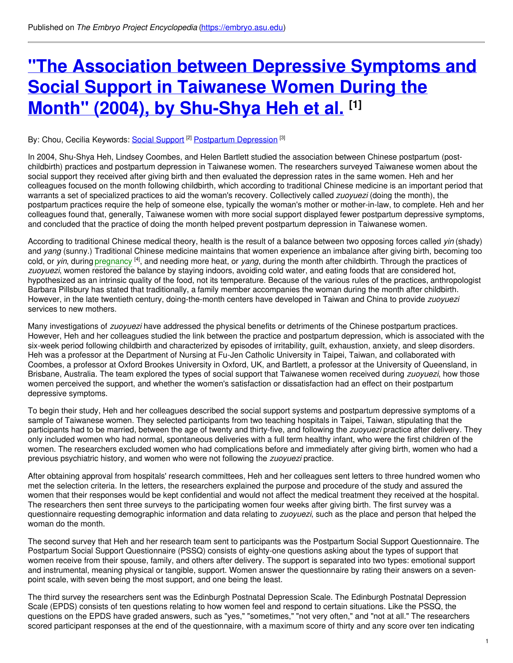# **"The [Association](https://embryo.asu.edu/pages/association-between-depressive-symptoms-and-social-support-taiwanese-women-during-month-2004) between Depressive Symptoms and Social Support in Taiwanese Women During the Month" (2004), by Shu-Shya Heh et al. [1]**

### By: Chou, Cecilia Keywords: Social [Support](https://embryo.asu.edu/keywords/social-support) <sup>[2]</sup> [Postpartum](https://embryo.asu.edu/keywords/postpartum-depression) Depression <sup>[3]</sup>

In 2004, Shu-Shya Heh, Lindsey Coombes, and Helen Bartlett studied the association between Chinese postpartum (postchildbirth) practices and postpartum depression in Taiwanese women. The researchers surveyed Taiwanese women about the social support they received after giving birth and then evaluated the depression rates in the same women. Heh and her colleagues focused on the month following childbirth, which according to traditional Chinese medicine is an important period that warrants a set of specialized practices to aid the woman's recovery. Collectively called *zuoyuezi* (doing the month), the postpartum practices require the help of someone else, typically the woman's mother or mother-in-law, to complete. Heh and her colleagues found that, generally, Taiwanese women with more social support displayed fewer postpartum depressive symptoms, and concluded that the practice of doing the month helped prevent postpartum depression in Taiwanese women.

According to traditional Chinese medical theory, health is the result of a balance between two opposing forces called *yin* (shady) and *yang* (sunny.) Traditional Chinese medicine maintains that women experience an imbalance after giving birth, becoming too cold, or *yin*, during [pregnancy](https://embryo.asu.edu/search?text=pregnancy) <sup>[4]</sup>, and needing more heat, or *yang*, during the month after childbirth. Through the practices of *zuoyuezi*, women restored the balance by staying indoors, avoiding cold water, and eating foods that are considered hot, hypothesized as an intrinsic quality of the food, not its temperature. Because of the various rules of the practices, anthropologist Barbara Pillsbury has stated that traditionally, a family member accompanies the woman during the month after childbirth. However, in the late twentieth century, doing-the-month centers have developed in Taiwan and China to provide *zuoyuezi* services to new mothers.

Many investigations of *zuoyuezi* have addressed the physical benefits or detriments of the Chinese postpartum practices. However, Heh and her colleagues studied the link between the practice and postpartum depression, which is associated with the six-week period following childbirth and characterized by episodes of irritability, guilt, exhaustion, anxiety, and sleep disorders. Heh was a professor at the Department of Nursing at Fu-Jen Catholic University in Taipei, Taiwan, and collaborated with Coombes, a professor at Oxford Brookes University in Oxford, UK, and Bartlett, a professor at the University of Queensland, in Brisbane, Australia. The team explored the types of social support that Taiwanese women received during *zuoyuezi*, how those women perceived the support, and whether the women's satisfaction or dissatisfaction had an effect on their postpartum depressive symptoms.

To begin their study, Heh and her colleagues described the social support systems and postpartum depressive symptoms of a sample of Taiwanese women. They selected participants from two teaching hospitals in Taipei, Taiwan, stipulating that the participants had to be married, between the age of twenty and thirty-five, and following the *zuoyuezi* practice after delivery. They only included women who had normal, spontaneous deliveries with a full term healthy infant, who were the first children of the women. The researchers excluded women who had complications before and immediately after giving birth, women who had a previous psychiatric history, and women who were not following the *zuoyuezi* practice.

After obtaining approval from hospitals' research committees, Heh and her colleagues sent letters to three hundred women who met the selection criteria. In the letters, the researchers explained the purpose and procedure of the study and assured the women that their responses would be kept confidential and would not affect the medical treatment they received at the hospital. The researchers then sent three surveys to the participating women four weeks after giving birth. The first survey was a questionnaire requesting demographic information and data relating to *zuoyuezi*, such as the place and person that helped the woman do the month.

The second survey that Heh and her research team sent to participants was the Postpartum Social Support Questionnaire. The Postpartum Social Support Questionnaire (PSSQ) consists of eighty-one questions asking about the types of support that women receive from their spouse, family, and others after delivery. The support is separated into two types: emotional support and instrumental, meaning physical or tangible, support. Women answer the questionnaire by rating their answers on a sevenpoint scale, with seven being the most support, and one being the least.

The third survey the researchers sent was the Edinburgh Postnatal Depression Scale. The Edinburgh Postnatal Depression Scale (EPDS) consists of ten questions relating to how women feel and respond to certain situations. Like the PSSQ, the questions on the EPDS have graded answers, such as "yes," "sometimes," "not very often," and "not at all." The researchers scored participant responses at the end of the questionnaire, with a maximum score of thirty and any score over ten indicating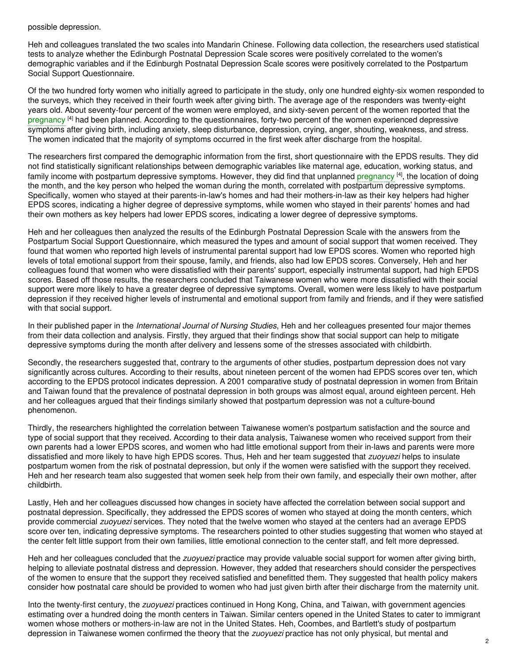possible depression.

Heh and colleagues translated the two scales into Mandarin Chinese. Following data collection, the researchers used statistical tests to analyze whether the Edinburgh Postnatal Depression Scale scores were positively correlated to the women's demographic variables and if the Edinburgh Postnatal Depression Scale scores were positively correlated to the Postpartum Social Support Questionnaire.

Of the two hundred forty women who initially agreed to participate in the study, only one hundred eighty-six women responded to the surveys, which they received in their fourth week after giving birth. The average age of the responders was twenty-eight years old. About seventy-four percent of the women were employed, and sixty-seven percent of the women reported that the [pregnancy](https://embryo.asu.edu/search?text=pregnancy) <sup>[4]</sup> had been planned. According to the questionnaires, forty-two percent of the women experienced depressive symptoms after giving birth, including anxiety, sleep disturbance, depression, crying, anger, shouting, weakness, and stress. The women indicated that the majority of symptoms occurred in the first week after discharge from the hospital.

The researchers first compared the demographic information from the first, short questionnaire with the EPDS results. They did not find statistically significant relationships between demographic variables like maternal age, education, working status, and family income with postpartum depressive symptoms. However, they did find that unplanned [pregnancy](https://embryo.asu.edu/search?text=pregnancy) <sup>[4]</sup>, the location of doing the month, and the key person who helped the woman during the month, correlated with postpartum depressive symptoms. Specifically, women who stayed at their parents-in-law's homes and had their mothers-in-law as their key helpers had higher EPDS scores, indicating a higher degree of depressive symptoms, while women who stayed in their parents' homes and had their own mothers as key helpers had lower EPDS scores, indicating a lower degree of depressive symptoms.

Heh and her colleagues then analyzed the results of the Edinburgh Postnatal Depression Scale with the answers from the Postpartum Social Support Questionnaire, which measured the types and amount of social support that women received. They found that women who reported high levels of instrumental parental support had low EPDS scores. Women who reported high levels of total emotional support from their spouse, family, and friends, also had low EPDS scores. Conversely, Heh and her colleagues found that women who were dissatisfied with their parents' support, especially instrumental support, had high EPDS scores. Based off those results, the researchers concluded that Taiwanese women who were more dissatisfied with their social support were more likely to have a greater degree of depressive symptoms. Overall, women were less likely to have postpartum depression if they received higher levels of instrumental and emotional support from family and friends, and if they were satisfied with that social support.

In their published paper in the *International Journal of Nursing Studies*, Heh and her colleagues presented four major themes from their data collection and analysis. Firstly, they argued that their findings show that social support can help to mitigate depressive symptoms during the month after delivery and lessens some of the stresses associated with childbirth.

Secondly, the researchers suggested that, contrary to the arguments of other studies, postpartum depression does not vary significantly across cultures. According to their results, about nineteen percent of the women had EPDS scores over ten, which according to the EPDS protocol indicates depression. A 2001 comparative study of postnatal depression in women from Britain and Taiwan found that the prevalence of postnatal depression in both groups was almost equal, around eighteen percent. Heh and her colleagues argued that their findings similarly showed that postpartum depression was not a culture-bound phenomenon.

Thirdly, the researchers highlighted the correlation between Taiwanese women's postpartum satisfaction and the source and type of social support that they received. According to their data analysis, Taiwanese women who received support from their own parents had a lower EPDS scores, and women who had little emotional support from their in-laws and parents were more dissatisfied and more likely to have high EPDS scores. Thus, Heh and her team suggested that *zuoyuezi* helps to insulate postpartum women from the risk of postnatal depression, but only if the women were satisfied with the support they received. Heh and her research team also suggested that women seek help from their own family, and especially their own mother, after childbirth.

Lastly, Heh and her colleagues discussed how changes in society have affected the correlation between social support and postnatal depression. Specifically, they addressed the EPDS scores of women who stayed at doing the month centers, which provide commercial *zuoyuezi* services. They noted that the twelve women who stayed at the centers had an average EPDS score over ten, indicating depressive symptoms. The researchers pointed to other studies suggesting that women who stayed at the center felt little support from their own families, little emotional connection to the center staff, and felt more depressed.

Heh and her colleagues concluded that the *zuoyuezi* practice may provide valuable social support for women after giving birth, helping to alleviate postnatal distress and depression. However, they added that researchers should consider the perspectives of the women to ensure that the support they received satisfied and benefitted them. They suggested that health policy makers consider how postnatal care should be provided to women who had just given birth after their discharge from the maternity unit.

Into the twenty-first century, the *zuoyuezi* practices continued in Hong Kong, China, and Taiwan, with government agencies estimating over a hundred doing the month centers in Taiwan. Similar centers opened in the United States to cater to immigrant women whose mothers or mothers-in-law are not in the United States. Heh, Coombes, and Bartlett's study of postpartum depression in Taiwanese women confirmed the theory that the *zuoyuezi* practice has not only physical, but mental and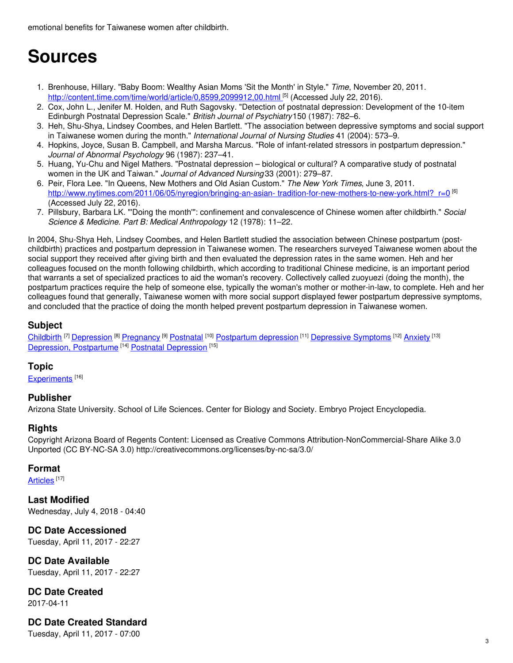emotional benefits for Taiwanese women after childbirth.

# **Sources**

- 1. Brenhouse, Hillary. "Baby Boom: Wealthy Asian Moms 'Sit the Month' in Style." *Time*, November 20, 2011. [http://content.time.com/time/world/article/0,8599,2099912,00.html](http://content.time.com/time/world/article/0,8599,2099912,00.%0A%09html%20%20)<sup>[5]</sup> (Accessed July 22, 2016).
- 2. Cox, John L., Jenifer M. Holden, and Ruth Sagovsky. "Detection of postnatal depression: Development of the 10-item Edinburgh Postnatal Depression Scale." *British Journal of Psychiatry*150 (1987): 782–6.
- 3. Heh, Shu-Shya, Lindsey Coombes, and Helen Bartlett. "The association between depressive symptoms and social support in Taiwanese women during the month." *International Journal of Nursing Studies* 41 (2004): 573–9.
- 4. Hopkins, Joyce, Susan B. Campbell, and Marsha Marcus. "Role of infant-related stressors in postpartum depression." *Journal of Abnormal Psychology* 96 (1987): 237–41.
- 5. Huang, Yu-Chu and Nigel Mathers. "Postnatal depression biological or cultural? A comparative study of postnatal women in the UK and Taiwan." *Journal of Advanced Nursing* 33 (2001): 279–87.
- 6. Peir, Flora Lee. "In Queens, New Mothers and Old Asian Custom." *The New York Times*, June 3, 2011. [http://www.nytimes.com/2011/06/05/nyregion/bringing-an-asian-](http://www.nytimes.com/2011/06/05/nyregion/bringing-an-asian-%0A%09tradition-for-new-mothers-to-new-york.html?_r=0) tradition-for-new-mothers-to-new-york.html?\_r=0<sup>[6]</sup> (Accessed July 22, 2016).
- 7. Pillsbury, Barbara LK. "'Doing the month'": confinement and convalescence of Chinese women after childbirth." *Social Science & Medicine. Part B: Medical Anthropology* 12 (1978): 11–22.

In 2004, Shu-Shya Heh, Lindsey Coombes, and Helen Bartlett studied the association between Chinese postpartum (postchildbirth) practices and postpartum depression in Taiwanese women. The researchers surveyed Taiwanese women about the social support they received after giving birth and then evaluated the depression rates in the same women. Heh and her colleagues focused on the month following childbirth, which according to traditional Chinese medicine, is an important period that warrants a set of specialized practices to aid the woman's recovery. Collectively called zuoyuezi (doing the month), the postpartum practices require the help of someone else, typically the woman's mother or mother-in-law, to complete. Heh and her colleagues found that generally, Taiwanese women with more social support displayed fewer postpartum depressive symptoms, and concluded that the practice of doing the month helped prevent postpartum depression in Taiwanese women.

# **Subject**

[Childbirth](https://embryo.asu.edu/library-congress-subject-headings/childbirth) <sup>[7]</sup> [Depression](https://embryo.asu.edu/library-congress-subject-headings/depression) <sup>[8]</sup> [Pregnancy](https://embryo.asu.edu/library-congress-subject-headings/pregnancy) <sup>[9]</sup> [Postnatal](https://embryo.asu.edu/library-congress-subject-headings/postnatal) <sup>[10]</sup> [Postpartum](https://embryo.asu.edu/library-congress-subject-headings/postpartum-depression) depression <sup>[11]</sup> [Depressive](https://embryo.asu.edu/medical-subject-headings/depressive-symptoms) Symptoms <sup>[12]</sup> [Anxiety](https://embryo.asu.edu/medical-subject-headings/anxiety) <sup>[13]</sup> Depression, [Postpartume](https://embryo.asu.edu/medical-subject-headings/depression-postpartume)<sup>[14]</sup> Postnatal [Depression](https://embryo.asu.edu/medical-subject-headings/postnatal-depression)<sup>[15]</sup>

## **Topic**

[Experiments](https://embryo.asu.edu/topics/experiments)<sup>[16]</sup>

## **Publisher**

Arizona State University. School of Life Sciences. Center for Biology and Society. Embryo Project Encyclopedia.

## **Rights**

Copyright Arizona Board of Regents Content: Licensed as Creative Commons Attribution-NonCommercial-Share Alike 3.0 Unported (CC BY-NC-SA 3.0) http://creativecommons.org/licenses/by-nc-sa/3.0/

## **Format**

[Articles](https://embryo.asu.edu/formats/articles) <sup>[17]</sup>

**Last Modified** Wednesday, July 4, 2018 - 04:40

# **DC Date Accessioned**

Tuesday, April 11, 2017 - 22:27

**DC Date Available** Tuesday, April 11, 2017 - 22:27

**DC Date Created** 2017-04-11

## **DC Date Created Standard**

Tuesday, April 11, 2017 - 07:00